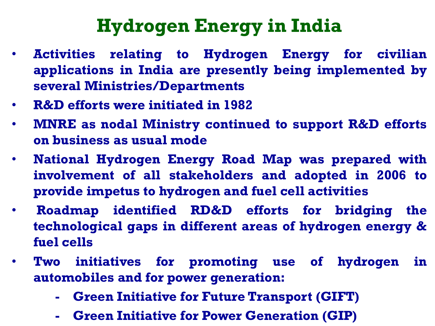## **Hydrogen Energy in India**

- **Activities relating to Hydrogen Energy for civilian applications in India are presently being implemented by several Ministries/Departments**
- **R&D efforts were initiated in 1982**
- **MNRE as nodal Ministry continued to support R&D efforts on business as usual mode**
- **National Hydrogen Energy Road Map was prepared with involvement of all stakeholders and adopted in 2006 to provide impetus to hydrogen and fuel cell activities**
- **Roadmap identified RD&D efforts for bridging the technological gaps in different areas of hydrogen energy & fuel cells**
- **Two initiatives for promoting use of hydrogen in automobiles and for power generation:**
	- **Green Initiative for Future Transport (GIFT)**
	- **Green Initiative for Power Generation (GIP)**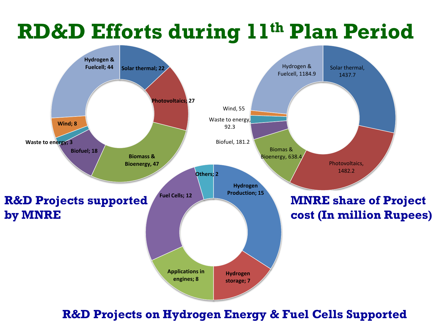

**R&D Projects on Hydrogen Energy & Fuel Cells Supported**

# **RD&D Efforts during 11th Plan Period**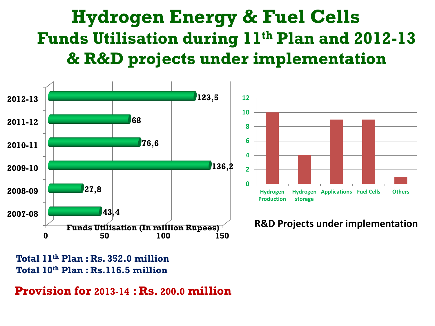#### **Hydrogen Energy & Fuel Cells Funds Utilisation during 11th Plan and 2012-13 & R&D projects under implementation**



**Total 11th Plan : Rs. 352.0 million Total 10th Plan : Rs.116.5 million**

**Provision for 2013-14 : Rs. 200.0 million**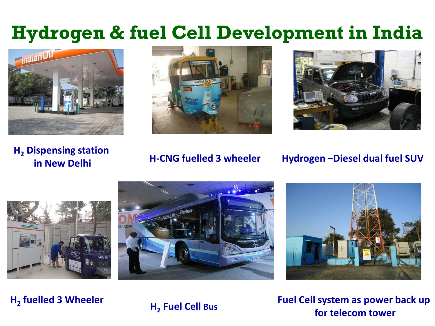### **Hydrogen & fuel Cell Development in India**







**H<sup>2</sup> Dispensing station** 

#### **in New Delhi H-CNG fuelled 3 wheeler Hydrogen –Diesel dual fuel SUV**







**H2 fuelled 3 Wheeler <sup>H</sup><sup>2</sup>**

**Fuel Cell Bus**

**Fuel Cell system as power back up for telecom tower**